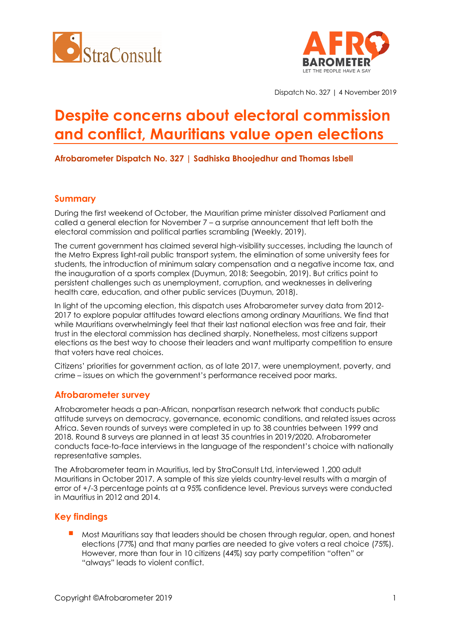



Dispatch No. 327 | 4 November 2019

# **Despite concerns about electoral commission and conflict, Mauritians value open elections**

**Afrobarometer Dispatch No. 327 | Sadhiska Bhoojedhur and Thomas Isbell**

### **Summary**

During the first weekend of October, the Mauritian prime minister dissolved Parliament and called a general election for November 7 – a surprise announcement that left both the electoral commission and political parties scrambling (Weekly, 2019).

The current government has claimed several high-visibility successes, including the launch of the Metro Express light-rail public transport system, the elimination of some university fees for students, the introduction of minimum salary compensation and a negative income tax, and the inauguration of a sports complex (Duymun, 2018; Seegobin, 2019). But critics point to persistent challenges such as unemployment, corruption, and weaknesses in delivering health care, education, and other public services (Duymun, 2018).

In light of the upcoming election, this dispatch uses Afrobarometer survey data from 2012- 2017 to explore popular attitudes toward elections among ordinary Mauritians. We find that while Mauritians overwhelmingly feel that their last national election was free and fair, their trust in the electoral commission has declined sharply. Nonetheless, most citizens support elections as the best way to choose their leaders and want multiparty competition to ensure that voters have real choices.

Citizens' priorities for government action, as of late 2017, were unemployment, poverty, and crime – issues on which the government's performance received poor marks.

#### **Afrobarometer survey**

Afrobarometer heads a pan-African, nonpartisan research network that conducts public attitude surveys on democracy, governance, economic conditions, and related issues across Africa. Seven rounds of surveys were completed in up to 38 countries between 1999 and 2018. Round 8 surveys are planned in at least 35 countries in 2019/2020. Afrobarometer conducts face-to-face interviews in the language of the respondent's choice with nationally representative samples.

The Afrobarometer team in Mauritius, led by StraConsult Ltd, interviewed 1,200 adult Mauritians in October 2017. A sample of this size yields country-level results with a margin of error of +/-3 percentage points at a 95% confidence level. Previous surveys were conducted in Mauritius in 2012 and 2014.

### **Key findings**

Most Mauritians say that leaders should be chosen through regular, open, and honest elections (77%) and that many parties are needed to give voters a real choice (75%). However, more than four in 10 citizens (44%) say party competition "often" or "always" leads to violent conflict.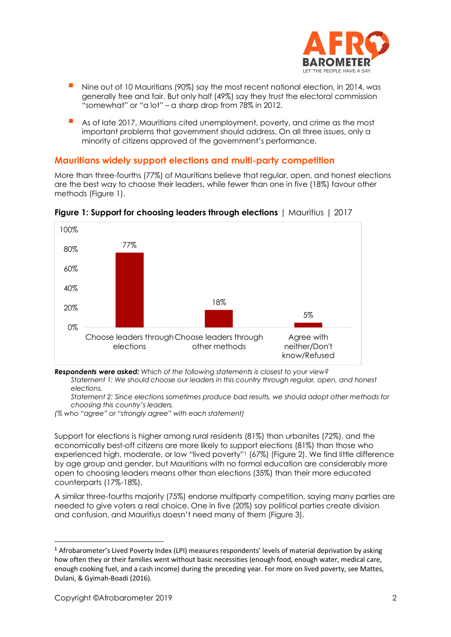

- Nine out of 10 Mauritians (90%) say the most recent national election, in 2014, was generally free and fair. But only half (49%) say they trust the electoral commission "somewhat" or "a lot" – a sharp drop from 78% in 2012.
- As of late 2017, Mauritians cited unemployment, poverty, and crime as the most important problems that government should address. On all three issues, only a minority of citizens approved of the government's performance.

### **Mauritians widely support elections and multi-party competition**

More than three-fourths (77%) of Mauritians believe that regular, open, and honest elections are the best way to choose their leaders, while fewer than one in five (18%) favour other methods (Figure 1).



**Figure 1: Support for choosing leaders through elections** | Mauritius | 2017

*Respondents were asked: Which of the following statements is closest to your view?* 

*Statement 1: We should choose our leaders in this country through regular, open, and honest elections.*

*Statement 2: Since elections sometimes produce bad results, we should adopt other methods for choosing this country's leaders.*

*(% who "agree" or "strongly agree" with each statement)*

Support for elections is higher among rural residents (81%) than urbanites (72%), and the economically best-off citizens are more likely to support elections (81%) than those who experienced high, moderate, or low "lived poverty"<sup>1</sup> (67%) (Figure 2). We find little difference by age group and gender, but Mauritians with no formal education are considerably more open to choosing leaders means other than elections (35%) than their more educated counterparts (17%-18%).

A similar three-fourths majority (75%) endorse multiparty competition, saying many parties are needed to give voters a real choice. One in five (20%) say political parties create division and confusion, and Mauritius doesn't need many of them (Figure 3).

**<sup>1</sup>** Afrobarometer's Lived Poverty Index (LPI) measures respondents' levels of material deprivation by asking how often they or their families went without basic necessities (enough food, enough water, medical care, enough cooking fuel, and a cash income) during the preceding year. For more on lived poverty, see Mattes, Dulani, & Gyimah-Boadi (2016).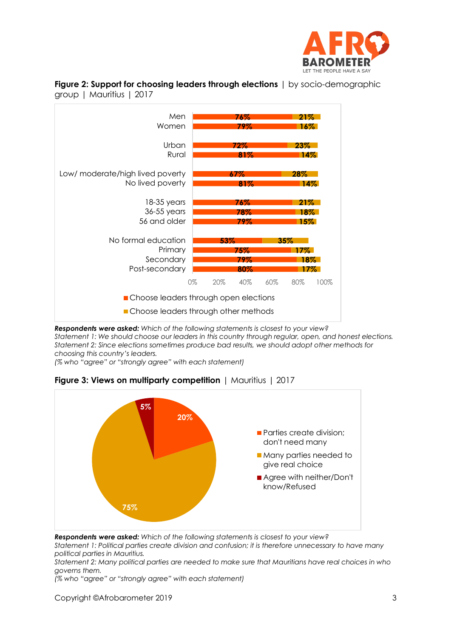





*Respondents were asked: Which of the following statements is closest to your view? Statement 1: We should choose our leaders in this country through regular, open, and honest elections. Statement 2: Since elections sometimes produce bad results, we should adopt other methods for choosing this country's leaders.*

*(% who "agree" or "strongly agree" with each statement)*



**Figure 3: Views on multiparty competition** | Mauritius | 2017

*Respondents were asked: Which of the following statements is closest to your view?* 

*Statement 1: Political parties create division and confusion; it is therefore unnecessary to have many political parties in Mauritius.*

*Statement 2: Many political parties are needed to make sure that Mauritians have real choices in who governs them.*

*(% who "agree" or "strongly agree" with each statement)*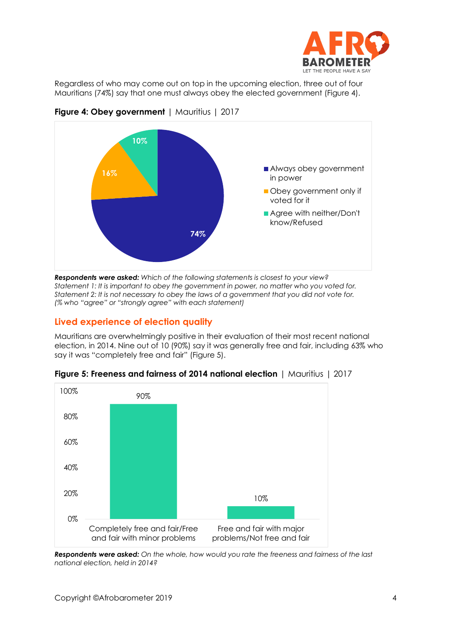

Regardless of who may come out on top in the upcoming election, three out of four Mauritians (74%) say that one must always obey the elected government (Figure 4).



**Figure 4: Obey government** | Mauritius | 2017

*Respondents were asked: Which of the following statements is closest to your view? Statement 1: It is important to obey the government in power, no matter who you voted for. Statement 2: It is not necessary to obey the laws of a government that you did not vote for. (% who "agree" or "strongly agree" with each statement)*

## **Lived experience of election quality**

Mauritians are overwhelmingly positive in their evaluation of their most recent national election, in 2014. Nine out of 10 (90%) say it was generally free and fair, including 63% who say it was "completely free and fair" (Figure 5).



**Figure 5: Freeness and fairness of 2014 national election** | Mauritius | 2017

*Respondents were asked: On the whole, how would you rate the freeness and fairness of the last national election, held in 2014?*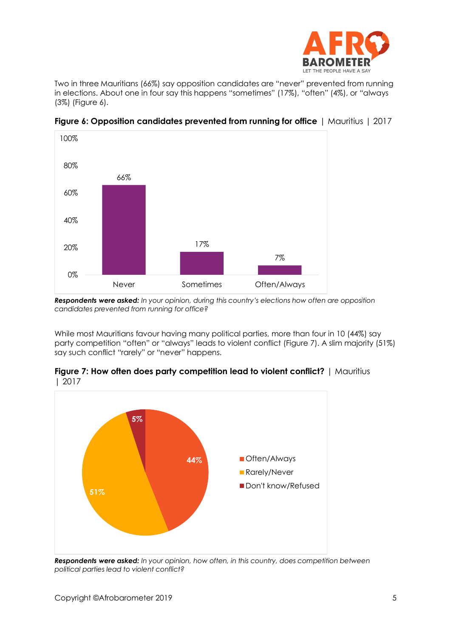

Two in three Mauritians (66%) say opposition candidates are "never" prevented from running in elections. About one in four say this happens "sometimes" (17%), "often" (4%), or "always (3%) (Figure 6).



**Figure 6: Opposition candidates prevented from running for office** | Mauritius | 2017

*Respondents were asked: In your opinion, during this country's elections how often are opposition candidates prevented from running for office?*

While most Mauritians favour having many political parties, more than four in 10 (44%) say party competition "often" or "always" leads to violent conflict (Figure 7). A slim majority (51%) say such conflict "rarely" or "never" happens.



**Figure 7: How often does party competition lead to violent conflict?** | Mauritius | 2017

*Respondents were asked: In your opinion, how often, in this country, does competition between political parties lead to violent conflict?*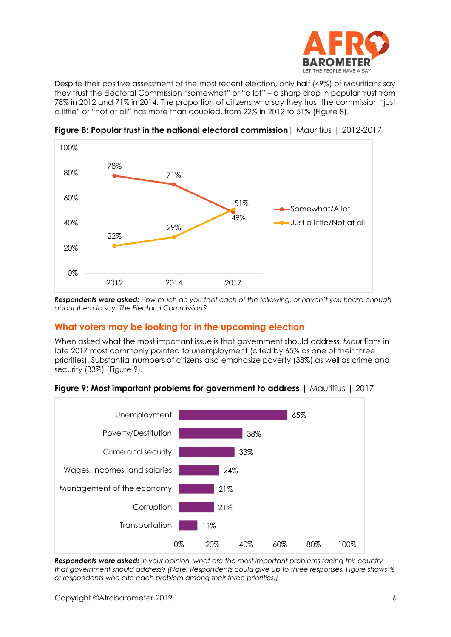

Despite their positive assessment of the most recent election, only half (49%) of Mauritians say they trust the Electoral Commission "somewhat" or "a lot" – a sharp drop in popular trust from 78% in 2012 and 71% in 2014. The proportion of citizens who say they trust the commission "just a little" or "not at all" has more than doubled, from 22% in 2012 to 51% (Figure 8).



**Figure 8: Popular trust in the national electoral commission**| Mauritius | 2012-2017

*Respondents were asked: How much do you trust each of the following, or haven't you heard enough about them to say: The Electoral Commission?*

### **What voters may be looking for in the upcoming election**

When asked what the most important issue is that government should address, Mauritians in late 2017 most commonly pointed to unemployment (cited by 65% as one of their three priorities). Substantial numbers of citizens also emphasize poverty (38%) as well as crime and security (33%) (Figure 9).





*Respondents were asked: In your opinion, what are the most important problems facing this country that government should address? (Note: Respondents could give up to three responses. Figure shows % of respondents who cite each problem among their three priorities.)*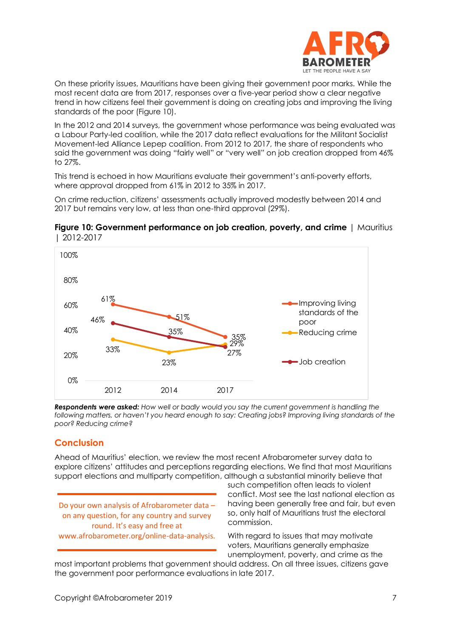

On these priority issues, Mauritians have been giving their government poor marks. While the most recent data are from 2017, responses over a five-year period show a clear negative trend in how citizens feel their government is doing on creating jobs and improving the living standards of the poor (Figure 10).

In the 2012 and 2014 surveys, the government whose performance was being evaluated was a Labour Party-led coalition, while the 2017 data reflect evaluations for the Militant Socialist Movement-led Alliance Lepep coalition. From 2012 to 2017, the share of respondents who said the government was doing "fairly well" or "very well" on job creation dropped from 46% to 27%.

This trend is echoed in how Mauritians evaluate their government's anti-poverty efforts, where approval dropped from 61% in 2012 to 35% in 2017.

On crime reduction, citizens' assessments actually improved modestly between 2014 and 2017 but remains very low, at less than one-third approval (29%).





*Respondents were asked: How well or badly would you say the current government is handling the following matters, or haven't you heard enough to say: Creating jobs? Improving living standards of the poor? Reducing crime?*

## **Conclusion**

Ahead of Mauritius' election, we review the most recent Afrobarometer survey data to explore citizens' attitudes and perceptions regarding elections. We find that most Mauritians support elections and multiparty competition, although a substantial minority believe that

Do your own analysis of Afrobarometer data – on any question, for any country and survey round. It's easy and free at www.afrobarometer.org/online-data-analysis. such competition often leads to violent conflict. Most see the last national election as having been generally free and fair, but even so, only half of Mauritians trust the electoral commission.

With regard to issues that may motivate voters, Mauritians generally emphasize unemployment, poverty, and crime as the

most important problems that government should address. On all three issues, citizens gave the government poor performance evaluations in late 2017.